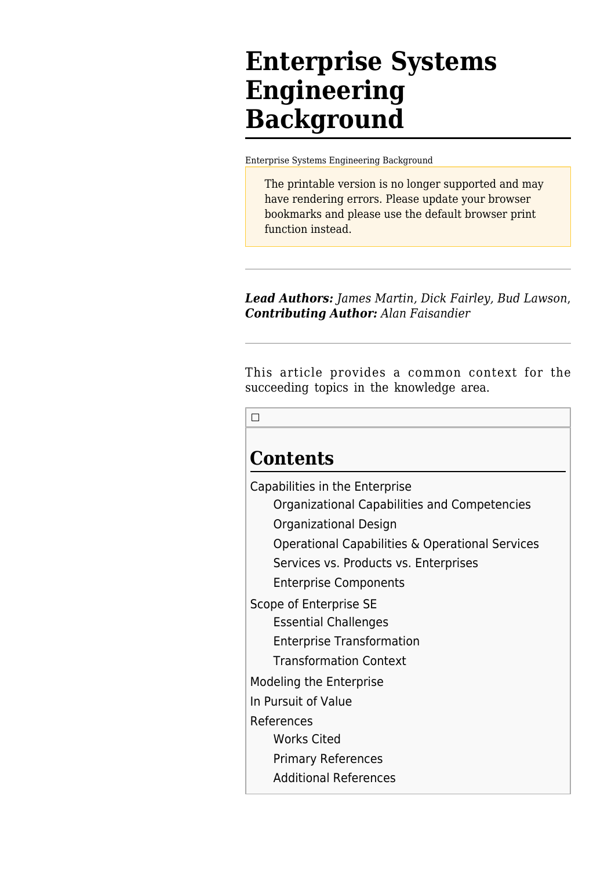# **Enterprise Systems Engineering Background**

[Enterprise Systems Engineering Background](http://sandbox.sebokwiki.org/Enterprise_Systems_Engineering_Background)

The printable version is no longer supported and may have rendering errors. Please update your browser bookmarks and please use the default browser print function instead.

*Lead Authors: James Martin, Dick Fairley, Bud Lawson*, *Contributing Author: Alan Faisandier*

This article provides a common context for the succeeding topics in the knowledge area.

 $\Box$ 

# **Contents**

[Capabilities in the Enterprise](#page--1-0)

[Organizational Capabilities and Competencies](#page--1-0)

[Organizational Design](#page--1-0)

[Operational Capabilities & Operational Services](#Operational_Capabilities_.26_Operational_Services)

[Services vs. Products vs. Enterprises](#Services_vs._Products_vs._Enterprises)

[Enterprise Components](#page--1-0)

[Scope of Enterprise SE](#page--1-0)

[Essential Challenges](#page--1-0)

[Enterprise Transformation](#page--1-0)

[Transformation Context](#page--1-0)

[Modeling the Enterprise](#page--1-0)

[In Pursuit of Value](#page--1-0)

[References](#page--1-0)

[Works Cited](#page--1-0)

[Primary References](#page--1-0)

[Additional References](#page--1-0)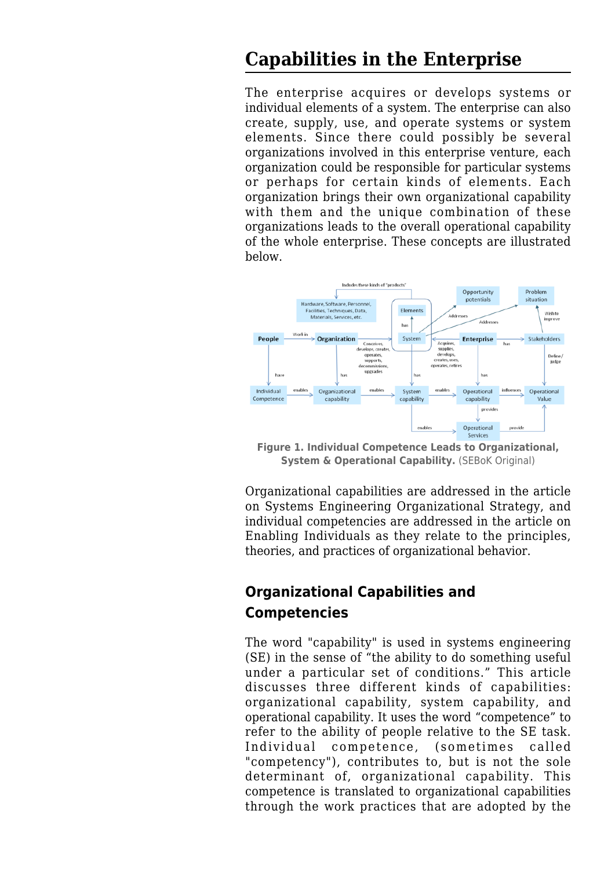### **Capabilities in the Enterprise**

The enterprise acquires or develops systems or individual elements of a system. The enterprise can also create, supply, use, and operate systems or system elements. Since there could possibly be several organizations involved in this enterprise venture, each organization could be responsible for particular systems or perhaps for certain kinds of elements. Each organization brings their own organizational capability with them and the unique combination of these organizations leads to the overall operational capability of the whole enterprise. These concepts are illustrated below.



**Figure 1. Individual Competence Leads to Organizational, System & Operational Capability.** (SEBoK Original)

Organizational capabilities are addressed in the article on [Systems Engineering Organizational Strategy](http://sandbox.sebokwiki.org/Systems_Engineering_Organizational_Strategy), and individual competencies are addressed in the article on [Enabling Individuals](http://sandbox.sebokwiki.org/Enabling_Individuals) as they relate to the principles, theories, and practices of organizational behavior.

#### **Organizational Capabilities and Competencies**

The word "capability" is used in systems engineering (SE) in the sense of "the ability to do something useful under a particular set of conditions." This article discusses three different kinds of capabilities: organizational capability, system capability, and operational capability. It uses the word "competence" to refer to the ability of people relative to the SE task. Individual competence, (sometimes called "competency"), contributes to, but is not the sole determinant of, organizational capability. This competence is translated to organizational capabilities through the work practices that are adopted by the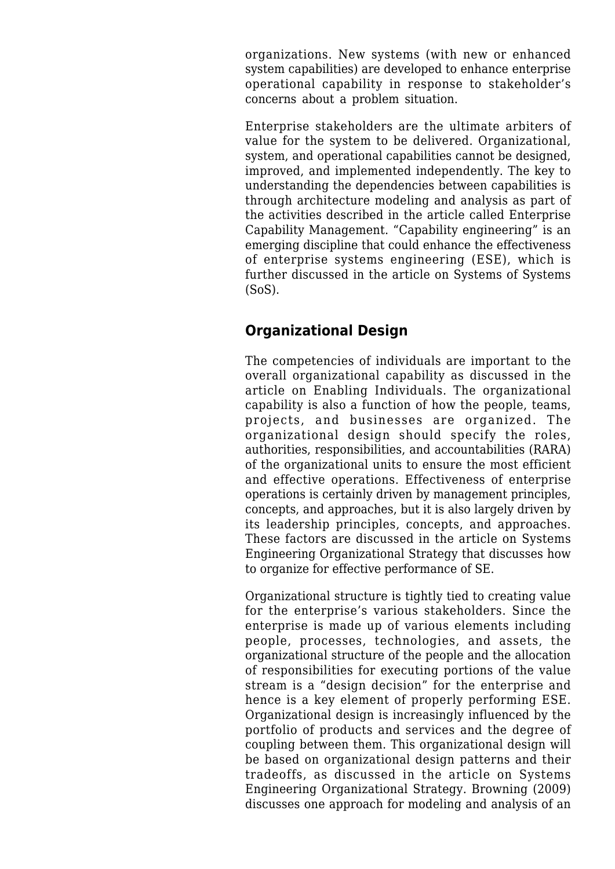organizations. New systems (with new or enhanced system capabilities) are developed to enhance enterprise operational capability in response to stakeholder's concerns about a problem situation.

Enterprise stakeholders are the ultimate arbiters of value for the system to be delivered. Organizational, system, and operational capabilities cannot be designed, improved, and implemented independently. The key to understanding the dependencies between capabilities is through architecture modeling and analysis as part of the activities described in the article called [Enterprise](http://sandbox.sebokwiki.org/Enterprise_Capability_Management) [Capability Management.](http://sandbox.sebokwiki.org/Enterprise_Capability_Management) "Capability engineering" is an emerging discipline that could enhance the effectiveness of enterprise systems engineering (ESE), which is further discussed in the article on [Systems of Systems](http://sandbox.sebokwiki.org/Systems_of_Systems_(SoS)) [\(SoS\)](http://sandbox.sebokwiki.org/Systems_of_Systems_(SoS)).

#### **Organizational Design**

The competencies of individuals are important to the overall organizational capability as discussed in the article on [Enabling Individuals.](http://sandbox.sebokwiki.org/Enabling_Individuals) The organizational capability is also a function of how the people, teams, projects, and businesses are organized. The organizational design should specify the roles, authorities, responsibilities, and accountabilities (RARA) of the organizational units to ensure the most efficient and effective operations. Effectiveness of enterprise operations is certainly driven by management principles, concepts, and approaches, but it is also largely driven by its leadership principles, concepts, and approaches. These factors are discussed in the article on [Systems](http://sandbox.sebokwiki.org/Systems_Engineering_Organizational_Strategy) [Engineering Organizational Strategy](http://sandbox.sebokwiki.org/Systems_Engineering_Organizational_Strategy) that discusses how to organize for effective performance of SE.

Organizational structure is tightly tied to creating value for the enterprise's various stakeholders. Since the enterprise is made up of various elements including people, processes, technologies, and assets, the organizational structure of the people and the allocation of responsibilities for executing portions of the value stream is a "design decision" for the enterprise and hence is a key element of properly performing ESE. Organizational design is increasingly influenced by the portfolio of products and services and the degree of coupling between them. This organizational design will be based on organizational design patterns and their tradeoffs, as discussed in the article on [Systems](http://sandbox.sebokwiki.org/Systems_Engineering_Organizational_Strategy) [Engineering Organizational Strategy](http://sandbox.sebokwiki.org/Systems_Engineering_Organizational_Strategy). Browning (2009) discusses one approach for modeling and analysis of an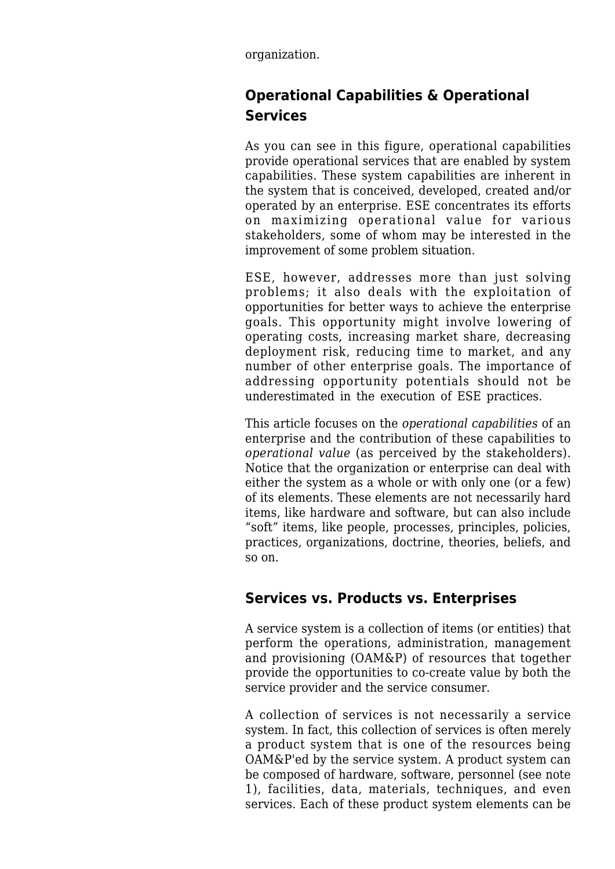organization.

#### **Operational Capabilities & Operational Services**

As you can see in this figure, operational capabilities provide operational services that are enabled by system capabilities. These system capabilities are inherent in the system that is conceived, developed, created and/or operated by an enterprise. ESE concentrates its efforts on maximizing operational value for various stakeholders, some of whom may be interested in the improvement of some problem situation.

ESE, however, addresses more than just solving problems; it also deals with the exploitation of opportunities for better ways to achieve the enterprise goals. This opportunity might involve lowering of operating costs, increasing market share, decreasing deployment risk, reducing time to market, and any number of other enterprise goals. The importance of addressing opportunity potentials should not be underestimated in the execution of ESE practices.

This article focuses on the *operational capabilities* of an enterprise and the contribution of these capabilities to *operational value* (as perceived by the stakeholders). Notice that the organization or enterprise can deal with either the system as a whole or with only one (or a few) of its elements. These elements are not necessarily hard items, like hardware and software, but can also include "soft" items, like people, processes, principles, policies, practices, organizations, doctrine, theories, beliefs, and so on.

#### **Services vs. Products vs. Enterprises**

A service system is a collection of items (or entities) that perform the operations, administration, management and provisioning (OAM&P) of resources that together provide the opportunities to co-create value by both the service provider and the service consumer.

A collection of services is not necessarily a service system. In fact, this collection of services is often merely a product system that is one of the resources being OAM&P'ed by the service system. A product system can be composed of hardware, software, personnel (see note 1), facilities, data, materials, techniques, and even services. Each of these product system elements can be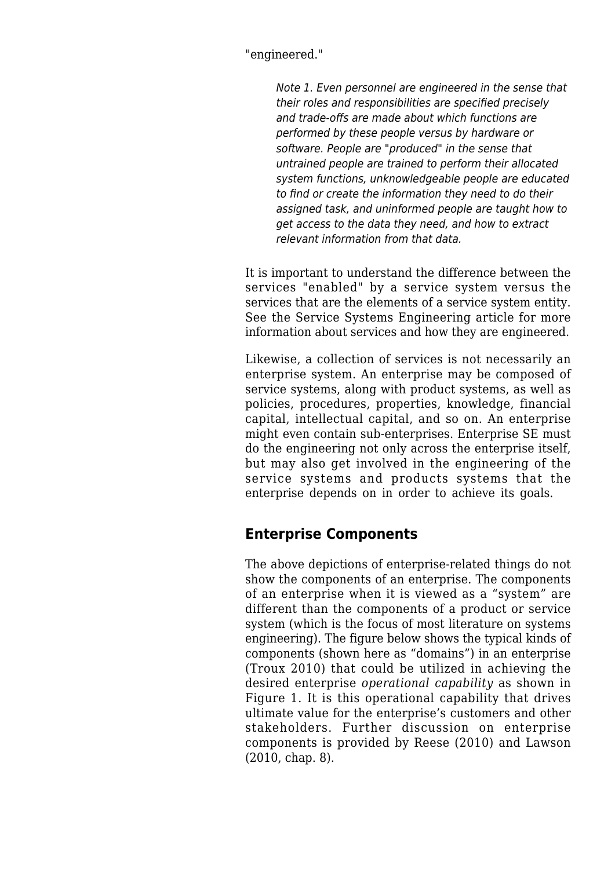"engineered."

Note 1. Even personnel are engineered in the sense that their roles and responsibilities are specified precisely and trade-offs are made about which functions are performed by these people versus by hardware or software. People are "produced" in the sense that untrained people are trained to perform their allocated system functions, unknowledgeable people are educated to find or create the information they need to do their assigned task, and uninformed people are taught how to get access to the data they need, and how to extract relevant information from that data.

It is important to understand the difference between the services "enabled" by a service system versus the services that are the elements of a service system entity. See the [Service Systems Engineering](http://sandbox.sebokwiki.org/Service_Systems_Engineering) article for more information about services and how they are engineered.

Likewise, a collection of services is not necessarily an enterprise system. An enterprise may be composed of service systems, along with product systems, as well as policies, procedures, properties, knowledge, financial capital, intellectual capital, and so on. An enterprise might even contain sub-enterprises. Enterprise SE must do the engineering not only across the enterprise itself, but may also get involved in the engineering of the service systems and products systems that the enterprise depends on in order to achieve its goals.

#### **Enterprise Components**

The above depictions of enterprise-related things do not show the components of an enterprise. The components of an enterprise when it is viewed as a "system" are different than the components of a product or service system (which is the focus of most literature on systems engineering). The figure below shows the typical kinds of components (shown here as "domains") in an enterprise (Troux 2010) that could be utilized in achieving the desired enterprise *operational capability* as shown in Figure 1. It is this operational capability that drives ultimate value for the enterprise's customers and other stakeholders. Further discussion on enterprise components is provided by Reese (2010) and Lawson (2010, chap. 8).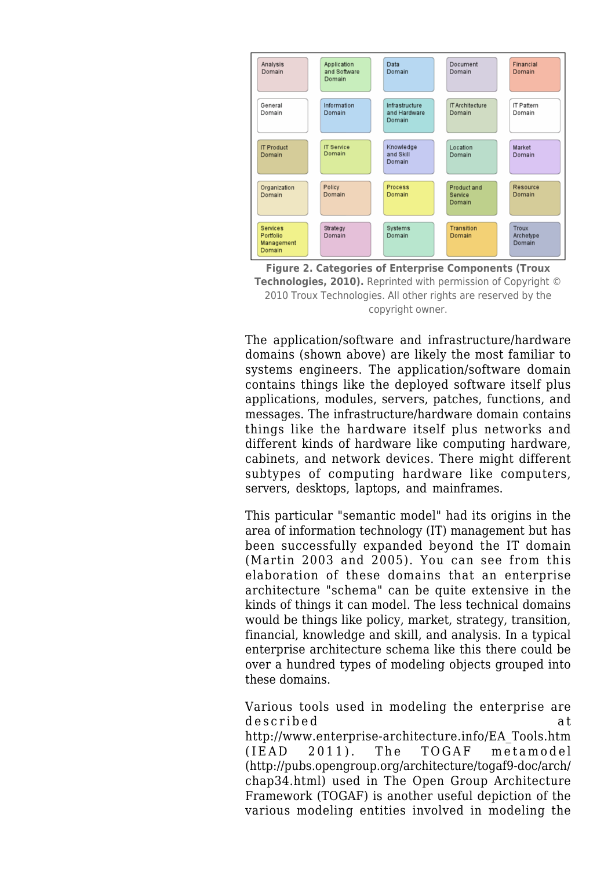



The application/software and infrastructure/hardware domains (shown above) are likely the most familiar to systems engineers. The application/software domain contains things like the deployed software itself plus applications, modules, servers, patches, functions, and messages. The infrastructure/hardware domain contains things like the hardware itself plus networks and different kinds of hardware like computing hardware, cabinets, and network devices. There might different subtypes of computing hardware like computers, servers, desktops, laptops, and mainframes.

This particular "semantic model" had its origins in the area of information technology (IT) management but has been successfully expanded beyond the IT domain (Martin 2003 and 2005). You can see from this elaboration of these domains that an enterprise architecture "schema" can be quite extensive in the kinds of things it can model. The less technical domains would be things like policy, market, strategy, transition, financial, knowledge and skill, and analysis. In a typical enterprise architecture schema like this there could be over a hundred types of modeling objects grouped into these domains.

Various tools used in modeling the enterprise are described at [http://www.enterprise-architecture.info/EA\\_Tools.htm](http://www.enterprise-architecture.info/EA_Tools.htm) (IEAD 2011). The TOGAF metamodel ([http://pubs.opengroup.org/architecture/togaf9-doc/arch/](http://pubs.opengroup.org/architecture/togaf9-doc/arch/chap34.html) [chap34.html](http://pubs.opengroup.org/architecture/togaf9-doc/arch/chap34.html)) used in The Open Group Architecture Framework (TOGAF) is another useful depiction of the various modeling entities involved in modeling the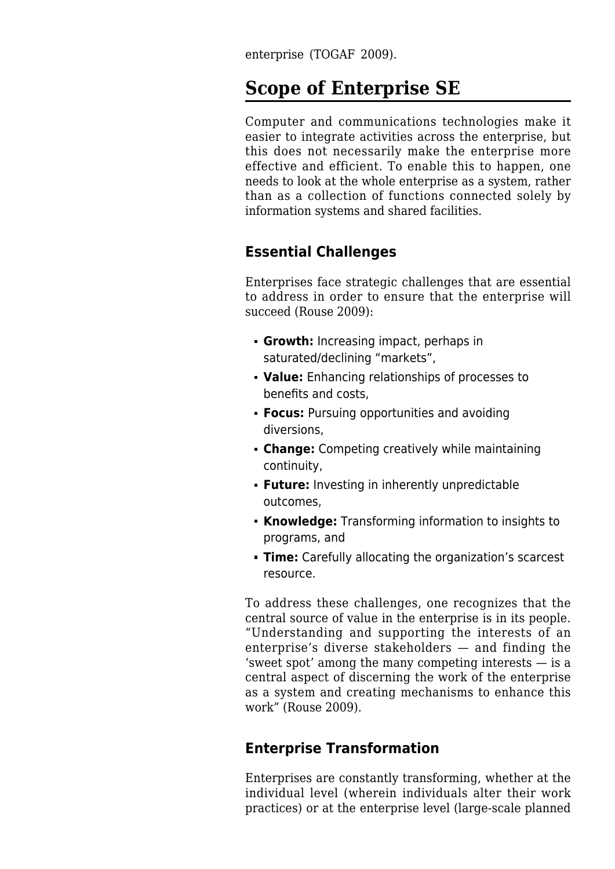enterprise (TOGAF 2009).

### **Scope of Enterprise SE**

Computer and communications technologies make it easier to integrate activities across the enterprise, but this does not necessarily make the enterprise more effective and efficient. To enable this to happen, one needs to look at the whole enterprise as a system, rather than as a collection of functions connected solely by information systems and shared facilities.

#### **Essential Challenges**

Enterprises face strategic challenges that are essential to address in order to ensure that the enterprise will succeed (Rouse 2009):

- **Growth:** Increasing impact, perhaps in saturated/declining "markets",
- **Value:** Enhancing relationships of processes to benefits and costs,
- **Focus:** Pursuing opportunities and avoiding diversions,
- **Change:** Competing creatively while maintaining continuity,
- **Future:** Investing in inherently unpredictable outcomes,
- **Knowledge:** Transforming information to insights to programs, and
- **Time:** Carefully allocating the organization's scarcest resource.

To address these challenges, one recognizes that the central source of value in the enterprise is in its people. "Understanding and supporting the interests of an enterprise's diverse stakeholders — and finding the 'sweet spot' among the many competing interests — is a central aspect of discerning the work of the enterprise as a system and creating mechanisms to enhance this work" (Rouse 2009).

#### **Enterprise Transformation**

Enterprises are constantly transforming, whether at the individual level (wherein individuals alter their work practices) or at the enterprise level (large-scale planned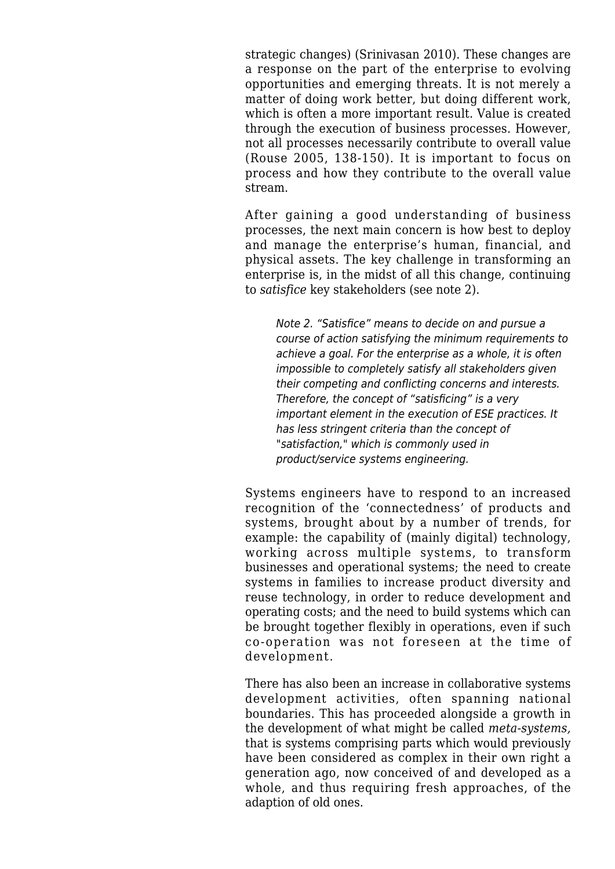strategic changes) (Srinivasan 2010). These changes are a response on the part of the enterprise to evolving opportunities and emerging threats. It is not merely a matter of doing work better, but doing different work, which is often a more important result. Value is created through the execution of business processes. However, not all processes necessarily contribute to overall value (Rouse 2005, 138-150). It is important to focus on process and how they contribute to the overall value stream.

After gaining a good understanding of business processes, the next main concern is how best to deploy and manage the enterprise's human, financial, and physical assets. The key challenge in transforming an enterprise is, in the midst of all this change, continuing to *satisfice* key stakeholders (see note 2).

Note 2. "Satisfice" means to decide on and pursue a course of action satisfying the minimum requirements to achieve a goal. For the enterprise as a whole, it is often impossible to completely satisfy all stakeholders given their competing and conflicting concerns and interests. Therefore, the concept of "satisficing" is a very important element in the execution of ESE practices. It has less stringent criteria than the concept of "satisfaction," which is commonly used in product/service systems engineering.

Systems engineers have to respond to an increased recognition of the 'connectedness' of products and systems, brought about by a number of trends, for example: the capability of (mainly digital) technology, working across multiple systems, to transform businesses and operational systems; the need to create systems in families to increase product diversity and reuse technology, in order to reduce development and operating costs; and the need to build systems which can be brought together flexibly in operations, even if such co-operation was not foreseen at the time of development.

There has also been an increase in collaborative systems development activities, often spanning national boundaries. This has proceeded alongside a growth in the development of what might be called *meta-systems,* that is systems comprising parts which would previously have been considered as complex in their own right a generation ago, now conceived of and developed as a whole, and thus requiring fresh approaches, of the adaption of old ones.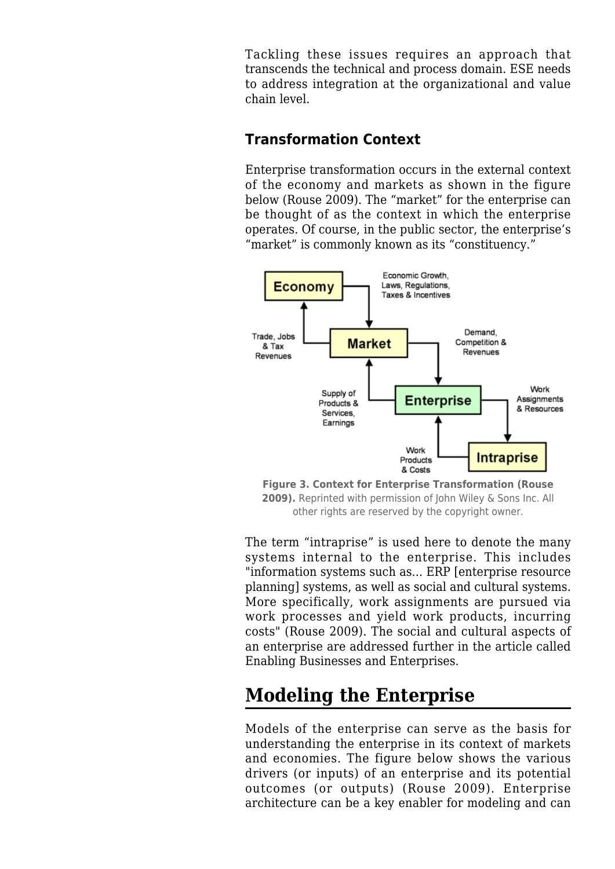Tackling these issues requires an approach that transcends the technical and process domain. ESE needs to address integration at the organizational and value chain level.

#### **Transformation Context**

Enterprise transformation occurs in the external context of the economy and markets as shown in the figure below (Rouse 2009). The "market" for the enterprise can be thought of as the context in which the enterprise operates. Of course, in the public sector, the enterprise's "market" is commonly known as its "constituency."



**Figure 3. Context for Enterprise Transformation (Rouse 2009).** Reprinted with permission of John Wiley & Sons Inc. All other rights are reserved by the copyright owner.

The term "intraprise" is used here to denote the many systems internal to the enterprise. This includes "information systems such as... ERP [enterprise resource planning] systems, as well as social and cultural systems. More specifically, work assignments are pursued via work processes and yield work products, incurring costs" (Rouse 2009). The social and cultural aspects of an enterprise are addressed further in the article called [Enabling Businesses and Enterprises.](http://sandbox.sebokwiki.org/Enabling_Businesses_and_Enterprises)

# **Modeling the Enterprise**

Models of the enterprise can serve as the basis for understanding the enterprise in its context of markets and economies. The figure below shows the various drivers (or inputs) of an enterprise and its potential outcomes (or outputs) (Rouse 2009). Enterprise architecture can be a key enabler for modeling and can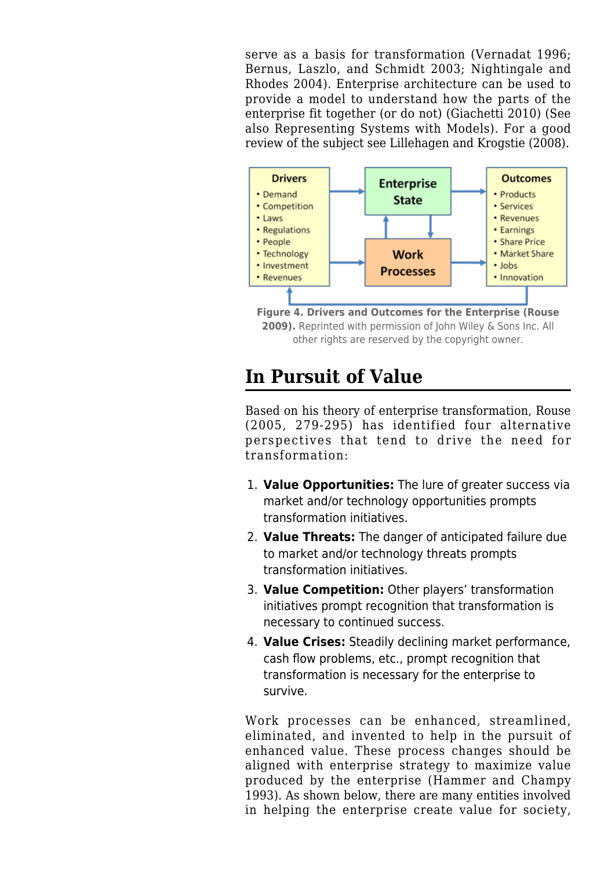serve as a basis for transformation (Vernadat 1996; Bernus, Laszlo, and Schmidt 2003; Nightingale and Rhodes 2004). Enterprise architecture can be used to provide a model to understand how the parts of the enterprise fit together (or do not) (Giachetti 2010) (See also [Representing Systems with Models](http://sandbox.sebokwiki.org/Representing_Systems_with_Models)). For a good review of the subject see Lillehagen and Krogstie (2008).



**Figure 4. Drivers and Outcomes for the Enterprise (Rouse 2009).** Reprinted with permission of John Wiley & Sons Inc. All other rights are reserved by the copyright owner.

## **In Pursuit of Value**

Based on his theory of enterprise transformation, Rouse (2005, 279-295) has identified four alternative perspectives that tend to drive the need for transformation:

- 1. **Value Opportunities:** The lure of greater success via market and/or technology opportunities prompts transformation initiatives.
- 2. **Value Threats:** The danger of anticipated failure due to market and/or technology threats prompts transformation initiatives.
- 3. **Value Competition:** Other players' transformation initiatives prompt recognition that transformation is necessary to continued success.
- 4. **Value Crises:** Steadily declining market performance, cash flow problems, etc., prompt recognition that transformation is necessary for the enterprise to survive.

Work processes can be enhanced, streamlined, eliminated, and invented to help in the pursuit of enhanced value. These process changes should be aligned with enterprise strategy to maximize value produced by the enterprise (Hammer and Champy 1993). As shown below, there are many entities involved in helping the enterprise create value for society,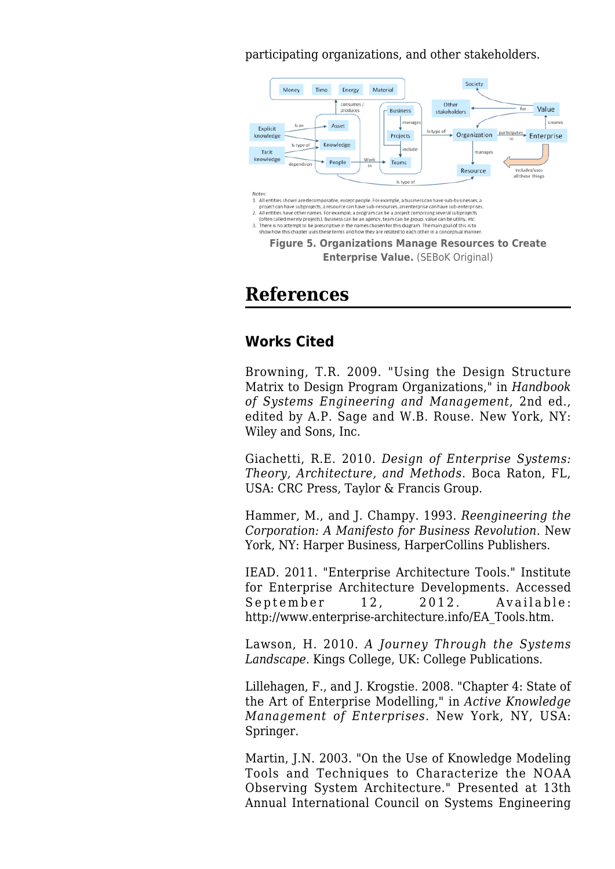participating organizations, and other stakeholders.



#### **References**

#### **Works Cited**

Browning, T.R. 2009. "Using the Design Structure Matrix to Design Program Organizations," in *Handbook of Systems Engineering and Management*, 2nd ed., edited by A.P. Sage and W.B. Rouse. New York, NY: Wiley and Sons, Inc.

Giachetti, R.E. 2010. *[Design of Enterprise Systems:](http://sandbox.sebokwiki.org/Design_of_Enterprise_Systems:_Theory,_Architecture,_and_Methods) [Theory, Architecture, and Methods](http://sandbox.sebokwiki.org/Design_of_Enterprise_Systems:_Theory,_Architecture,_and_Methods)*. Boca Raton, FL, USA: CRC Press, Taylor & Francis Group.

Hammer, M., and J. Champy. 1993. *Reengineering the Corporation: A Manifesto for Business Revolution*. New York, NY: Harper Business, HarperCollins Publishers.

IEAD. 2011. "Enterprise Architecture Tools." Institute for Enterprise Architecture Developments. Accessed September 12, 2012. Available: [http://www.enterprise-architecture.info/EA\\_Tools.htm](http://www.enterprise-architecture.info/EA_Tools.htm).

Lawson, H. 2010. *A Journey Through the Systems Landscape*. Kings College, UK: College Publications.

Lillehagen, F., and J. Krogstie. 2008. "Chapter 4: State of the Art of Enterprise Modelling," in *Active Knowledge Management of Enterprises*. New York, NY, USA: Springer.

Martin, J.N. 2003. "On the Use of Knowledge Modeling Tools and Techniques to Characterize the NOAA Observing System Architecture." Presented at 13th Annual International Council on Systems Engineering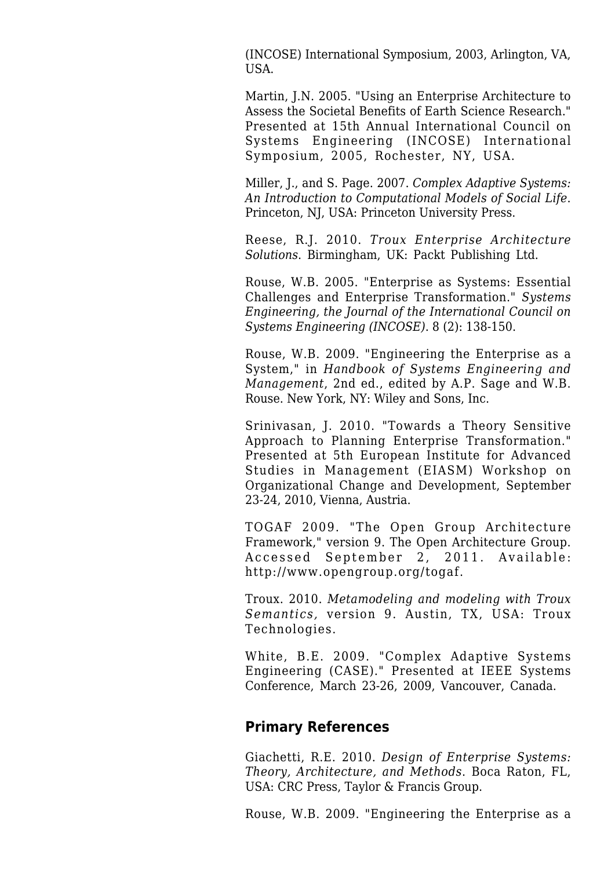(INCOSE) International Symposium, 2003, Arlington, VA, USA.

Martin, J.N. 2005. "Using an Enterprise Architecture to Assess the Societal Benefits of Earth Science Research." Presented at 15th Annual International Council on Systems Engineering (INCOSE) International Symposium, 2005, Rochester, NY, USA.

Miller, J., and S. Page. 2007. *Complex Adaptive Systems: An Introduction to Computational Models of Social Life*. Princeton, NJ, USA: Princeton University Press.

Reese, R.J. 2010. *Troux Enterprise Architecture Solutions*. Birmingham, UK: Packt Publishing Ltd.

Rouse, W.B. 2005. "Enterprise as Systems: Essential Challenges and Enterprise Transformation." *Systems Engineering, the Journal of the International Council on Systems Engineering (INCOSE)*. 8 (2): 138-150.

Rouse, W.B. 2009. "[Engineering the Enterprise as a](http://sandbox.sebokwiki.org/Engineering_the_Enterprise_as_a_System) [System,](http://sandbox.sebokwiki.org/Engineering_the_Enterprise_as_a_System)" in *Handbook of Systems Engineering and Management*, 2nd ed., edited by A.P. Sage and W.B. Rouse. New York, NY: Wiley and Sons, Inc.

Srinivasan, J. 2010. "[Towards a Theory Sensitive](http://sandbox.sebokwiki.org/Towards_a_Theory_Sensitive_Approach_to_Planning_Enterprise_Transformation) [Approach to Planning Enterprise Transformation.](http://sandbox.sebokwiki.org/Towards_a_Theory_Sensitive_Approach_to_Planning_Enterprise_Transformation)" Presented at 5th European Institute for Advanced Studies in Management (EIASM) Workshop on Organizational Change and Development, September 23-24, 2010, Vienna, Austria.

TOGAF 2009. "The Open Group Architecture Framework," version 9. The Open Architecture Group. Accessed September 2, 2011. Available: <http://www.opengroup.org/togaf>.

Troux. 2010. *Metamodeling and modeling with Troux Semantics,* version 9. Austin, TX, USA: Troux Technologies.

White, B.E. 2009. "[Complex Adaptive Systems](http://sandbox.sebokwiki.org/Complex_Adaptive_Systems_Engineering_(CASE)) [Engineering \(CASE\).](http://sandbox.sebokwiki.org/Complex_Adaptive_Systems_Engineering_(CASE))" Presented at IEEE Systems Conference, March 23-26, 2009, Vancouver, Canada.

#### **Primary References**

Giachetti, R.E. 2010. *[Design of Enterprise Systems:](http://sandbox.sebokwiki.org/Design_of_Enterprise_Systems:_Theory,_Architecture,_and_Methods) [Theory, Architecture, and Methods](http://sandbox.sebokwiki.org/Design_of_Enterprise_Systems:_Theory,_Architecture,_and_Methods)*. Boca Raton, FL, USA: CRC Press, Taylor & Francis Group.

Rouse, W.B. 2009. "[Engineering the Enterprise as a](http://sandbox.sebokwiki.org/Engineering_the_Enterprise_as_a_System)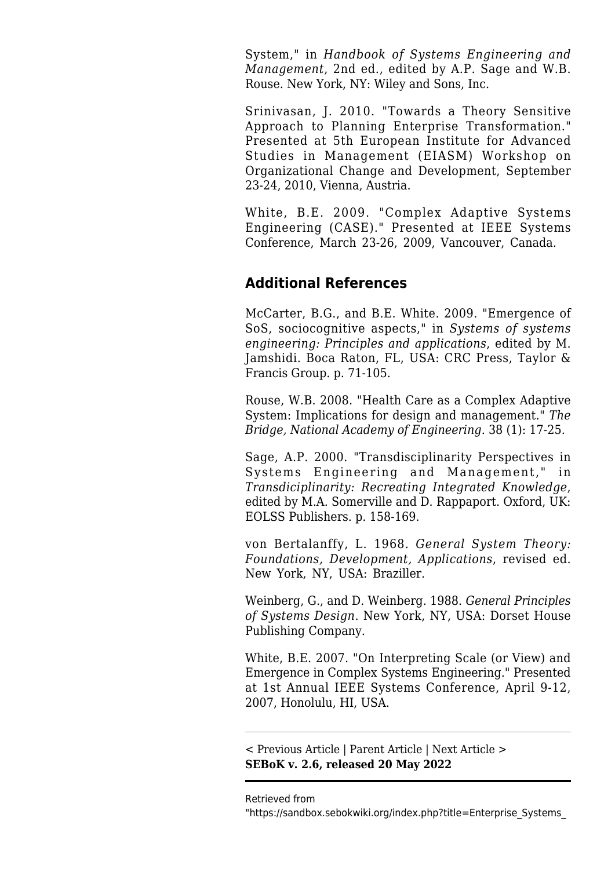[System,](http://sandbox.sebokwiki.org/Engineering_the_Enterprise_as_a_System)" in *Handbook of Systems Engineering and Management*, 2nd ed., edited by A.P. Sage and W.B. Rouse. New York, NY: Wiley and Sons, Inc.

Srinivasan, J. 2010. "[Towards a Theory Sensitive](http://sandbox.sebokwiki.org/Towards_a_Theory_Sensitive_Approach_to_Planning_Enterprise_Transformation) [Approach to Planning Enterprise Transformation.](http://sandbox.sebokwiki.org/Towards_a_Theory_Sensitive_Approach_to_Planning_Enterprise_Transformation)" Presented at 5th European Institute for Advanced Studies in Management (EIASM) Workshop on Organizational Change and Development, September 23-24, 2010, Vienna, Austria.

White, B.E. 2009. "[Complex Adaptive Systems](http://sandbox.sebokwiki.org/Complex_Adaptive_Systems_Engineering_(CASE)) [Engineering \(CASE\).](http://sandbox.sebokwiki.org/Complex_Adaptive_Systems_Engineering_(CASE))" Presented at IEEE Systems Conference, March 23-26, 2009, Vancouver, Canada.

#### **Additional References**

McCarter, B.G., and B.E. White. 2009. "Emergence of SoS, sociocognitive aspects," in *Systems of systems engineering: Principles and applications*, edited by M. Jamshidi. Boca Raton, FL, USA: CRC Press, Taylor & Francis Group. p. 71-105.

Rouse, W.B. 2008. "Health Care as a Complex Adaptive System: Implications for design and management." *The Bridge, National Academy of Engineering*. 38 (1): 17-25.

Sage, A.P. 2000. "Transdisciplinarity Perspectives in Systems Engineering and Management," in *Transdiciplinarity: Recreating Integrated Knowledge*, edited by M.A. Somerville and D. Rappaport. Oxford, UK: EOLSS Publishers. p. 158-169.

von Bertalanffy, L. 1968. *General System Theory: Foundations, Development, Applications*, revised ed. New York, NY, USA: Braziller.

Weinberg, G., and D. Weinberg. 1988. *General Principles of Systems Design*. New York, NY, USA: Dorset House Publishing Company.

White, B.E. 2007. "On Interpreting Scale (or View) and Emergence in Complex Systems Engineering." Presented at 1st Annual IEEE Systems Conference, April 9-12, 2007, Honolulu, HI, USA.

[< Previous Article](http://sandbox.sebokwiki.org/Enterprise_Systems_Engineering) | [Parent Article](http://sandbox.sebokwiki.org/Enterprise_Systems_Engineering) | [Next Article >](http://sandbox.sebokwiki.org/The_Enterprise_as_a_System) **SEBoK v. 2.6, released 20 May 2022**

Retrieved from

"[https://sandbox.sebokwiki.org/index.php?title=Enterprise\\_Systems\\_](https://sandbox.sebokwiki.org/index.php?title=Enterprise_Systems_Engineering_Background&oldid=64989)